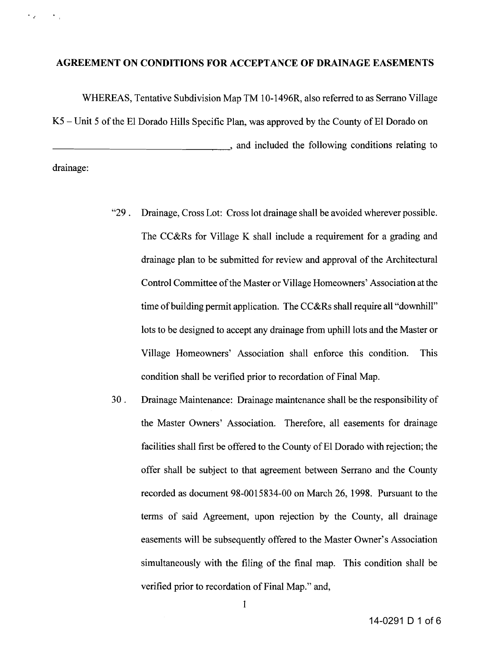## **AGREEMENT ON CONDITIONS FOR ACCEPTANCE OF DRAINAGE EASEMENTS**

WHEREAS, Tentative Subdivision Map TM 10-1496R, also referred to as Serrano Village  $K5$  – Unit 5 of the El Dorado Hills Specific Plan, was approved by the County of El Dorado on **Example 2.1** and included the following conditions relating to

drainage:

 $\sim$   $\epsilon_{\rm g}$ 

 $\sim$   $\sim$ 

- "29. Drainage, Cross Lot: Cross lot drainage shall be avoided wherever possible. The CC&Rs for Village K shall include a requirement for a grading and drainage plan to be submitted for review and approval of the Architectural Control Committee of the Master or Village Homeowners' Association at the time of building permit application. The CC&Rs shall require all "downhill" lots to be designed to accept any drainage from uphill lots and the Master or Village Homeowners' Association shall enforce this condition. This condition shall be verified prior to recordation of Final Map.
- 30 . Drainage Maintenance: Drainage maintenance shall be the responsibility of the Master Owners' Association. Therefore, all easements for drainage facilities shall first be offered to the County of El Dorado with rejection; the offer shall be subject to that agreement between Serrano and the County recorded as document 98-0015834-00 on March 26, 1998. Pursuant to the terms of said Agreement, upon rejection by the County, all drainage easements will be subsequently offered to the Master Owner's Association simultaneously with the filing of the final map. This condition shall be verified prior to recordation of Final Map." and,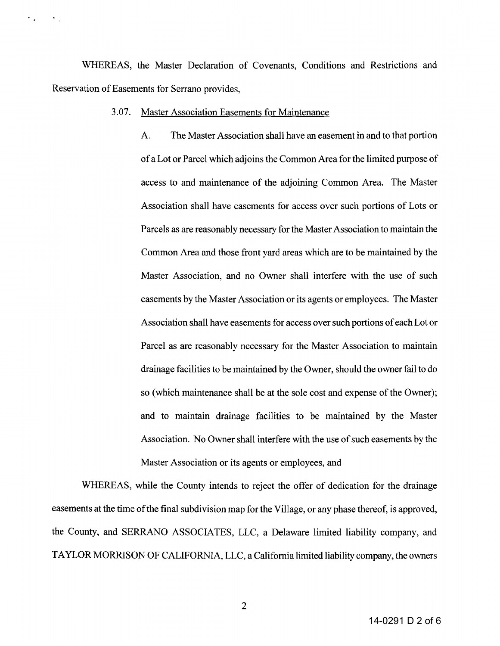WHEREAS, the Master Declaration of Covenants, Conditions and Restrictions and Reservation of Easements for Serrano provides,

## 3.07. Master Association Easements for Maintenance

 $\epsilon_{\rm in}$ 

 $\mathcal{F}_{\mathcal{A}}$ 

A. The Master Association shall have an easement in and to that portion ofa Lot or Parcel which adjoins the Common Area for the limited purpose of access to and maintenance of the adjoining Common Area. The Master Association shall have easements for access over such portions of Lots or Parcels as are reasonably necessary for the Master Association to maintain the Common Area and those front yard areas which are to be maintained by the Master Association, and no Owner shall interfere with the use of such easements by the Master Association or its agents or employees. The Master Association shall have easements for access over such portions of each Lot or Parcel as are reasonably necessary for the Master Association to maintain drainage facilities to be maintained by the Owner, should the owner fail to do so (which maintenance shall be at the sole cost and expense of the Owner); and to maintain drainage facilities to be maintained by the Master Association. No Owner shall interfere with the use of such easements by the Master Association or its agents or employees, and

WHEREAS, while the County intends to reject the offer of dedication for the drainage easements at the time of the final subdivision map for the Village, or any phase thereof, is approved, the County, and SERRANO ASSOCIATES, LLC, a Delaware limited liability company, and TAYLOR MORRISON OF CALIFORNIA, LLC, a California limited liability company, the owners

2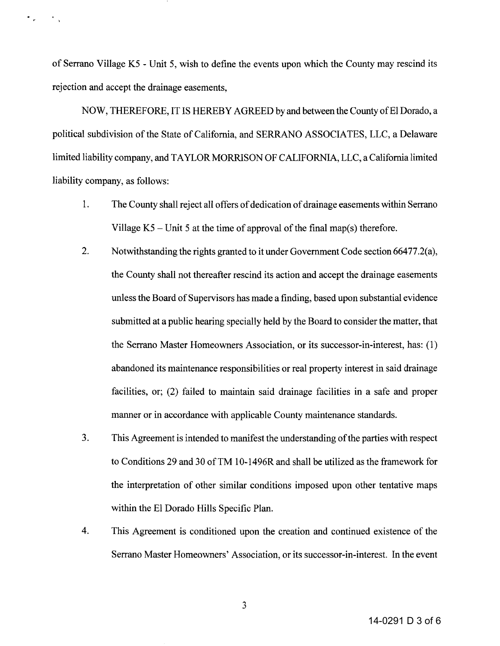of Serrano Village K5 - Unit 5, wish to define the events upon which the County may rescind its rejection and accept the drainage easements,

 $\ddot{\phantom{a}}$ 

NOW, THEREFORE, IT IS HEREBY AGREED by and between the County of El Dorado, a political subdivision of the State of California, and SERRANO ASSOCIATES, LLC, a Delaware limited liability company, and TAYLOR MORRISON OF CALIFORNIA, LLC, a California limited liability company, as follows:

- 1. The County shall reject all offers of dedication of drainage easements within Serrano Village  $K5$  – Unit 5 at the time of approval of the final map(s) therefore.
- 2. Notwithstanding the rights granted to it under Government Code section 66477.2(a), the County shall not thereafter rescind its action and accept the drainage easements unless the Board of Supervisors has made a finding, based upon substantial evidence submitted at a public hearing specially held by the Board to consider the matter, that the Serrano Master Homeowners Association, or its successor-in-interest, has: (l) abandoned its maintenance responsibilities or real property interest in said drainage facilities, or; (2) failed to maintain said drainage facilities in a safe and proper manner or in accordance with applicable County maintenance standards.
- 3. This Agreement is intended to manifest the understanding of the parties with respect to Conditions 29 and 30 ofTM 10-1496R and shall be utilized as the framework for the interpretation of other similar conditions imposed upon other tentative maps within the EI Dorado Hills Specific Plan.
- 4. This Agreement is conditioned upon the creation and continued existence of the Serrano Master Homeowners' Association, or its successor-in-interest. In the event

14-0291 D 3 of 6

3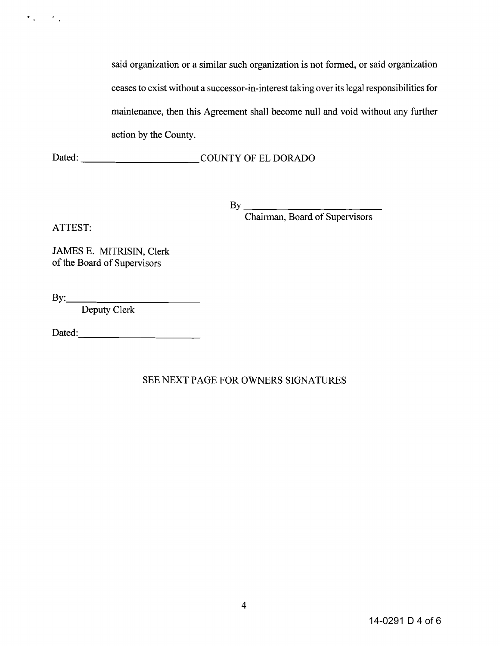said organization or a similar such organization is not formed, or said organization ceases to exist without a successor-in-interest taking over its legal responsibilities for maintenance, then this Agreement shall become null and void without any further action by the County.

Dated: COUNTY OF EL DORADO

 $\mathbf{B}\mathbf{v}$ 

Chairman, Board of Supervisors

ATTEST:

 $\sigma_{\rm eff} = 10^{11}$ 

JAMES E. MITRISIN, Clerk of the Board of Supervisors

 $\mathbf{B} \mathbf{y}$ :

Deputy Clerk

Dated:-----------

SEE NEXT PAGE FOR OWNERS SIGNATURES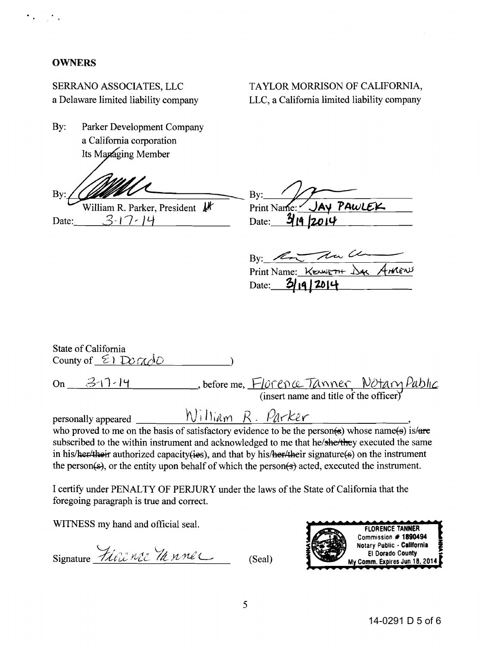## **OWNERS**

SERRANO ASSOCIATES, LLC a Delaware limited liability company

Bv: Parker Development Company a California corporation Its Managing Member

By:

William R. Parker, President Nr  $3-17-14$ Date:

| TAYLOR MORRISON OF CALIFORNIA,              |
|---------------------------------------------|
| LLC, a California limited liability company |

By: Print Name: JAY PAWLEK Date:  $\frac{3}{4}$ 19 2014

By: <u>Contra Community</u> Date:  $3/19/2014$ 

State of California County of  $\Sigma$   $Dor\alpha$ On 3-17-14 Sefore me, Florence Tanner Notary Pablic William R. Parker personally appeared who proved to me on the basis of satisfactory evidence to be the person(s) whose name(s) is/are subscribed to the within instrument and acknowledged to me that he/she/they executed the same in his/her/their authorized capacity(ies), and that by his/her/their signature( $\epsilon$ ) on the instrument

I certify under PENALTY OF PERJURY under the laws of the State of California that the foregoing paragraph is true and correct.

the person(s), or the entity upon behalf of which the person(s) acted, executed the instrument.

WITNESS my hand and official seal.

Signature Fiere nec 74 nner (Seal)